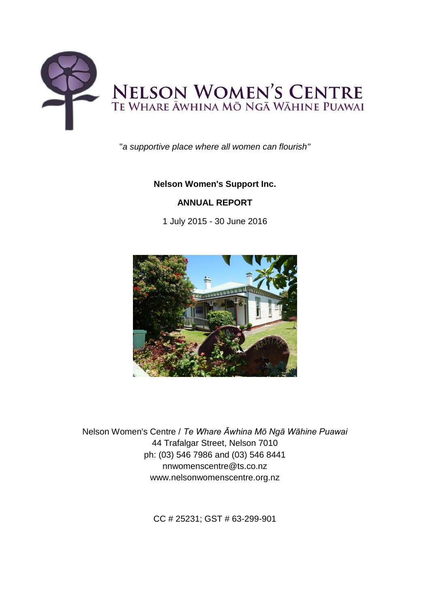

"*a supportive place where all women can flourish"*

# **Nelson Women's Support Inc.**

# **ANNUAL REPORT**

1 July 2015 - 30 June 2016



Nelson Women's Centre / *Te Whare Āwhina Mō Ngā Wāhine Puawai* 44 Trafalgar Street, Nelson 7010 ph: (03) 546 7986 and (03) 546 8441 nnwomenscentre@ts.co.nz www.nelsonwomenscentre.org.nz

CC # 25231; GST # 63-299-901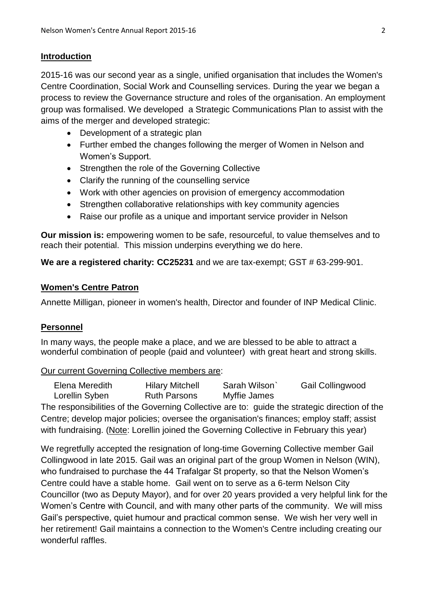## **Introduction**

2015-16 was our second year as a single, unified organisation that includes the Women's Centre Coordination, Social Work and Counselling services. During the year we began a process to review the Governance structure and roles of the organisation. An employment group was formalised. We developed a Strategic Communications Plan to assist with the aims of the merger and developed strategic:

- Development of a strategic plan
- Further embed the changes following the merger of Women in Nelson and Women's Support.
- Strengthen the role of the Governing Collective
- Clarify the running of the counselling service
- Work with other agencies on provision of emergency accommodation
- Strengthen collaborative relationships with key community agencies
- Raise our profile as a unique and important service provider in Nelson

**Our mission is:** empowering women to be safe, resourceful, to value themselves and to reach their potential. This mission underpins everything we do here.

**We are a registered charity: CC25231** and we are tax-exempt; GST # 63-299-901.

## **Women's Centre Patron**

Annette Milligan, pioneer in women's health, Director and founder of INP Medical Clinic.

## **Personnel**

In many ways, the people make a place, and we are blessed to be able to attract a wonderful combination of people (paid and volunteer) with great heart and strong skills.

## Our current Governing Collective members are:

Elena Meredith Hilary Mitchell Sarah Wilson` Gail Collingwood Lorellin Syben Ruth Parsons Myffie James

The responsibilities of the Governing Collective are to: guide the strategic direction of the Centre; develop major policies; oversee the organisation's finances; employ staff; assist with fundraising. (Note: Lorellin joined the Governing Collective in February this year)

We regretfully accepted the resignation of long-time Governing Collective member Gail Collingwood in late 2015. Gail was an original part of the group Women in Nelson (WIN), who fundraised to purchase the 44 Trafalgar St property, so that the Nelson Women's Centre could have a stable home. Gail went on to serve as a 6-term Nelson City Councillor (two as Deputy Mayor), and for over 20 years provided a very helpful link for the Women's Centre with Council, and with many other parts of the community. We will miss Gail's perspective, quiet humour and practical common sense. We wish her very well in her retirement! Gail maintains a connection to the Women's Centre including creating our wonderful raffles.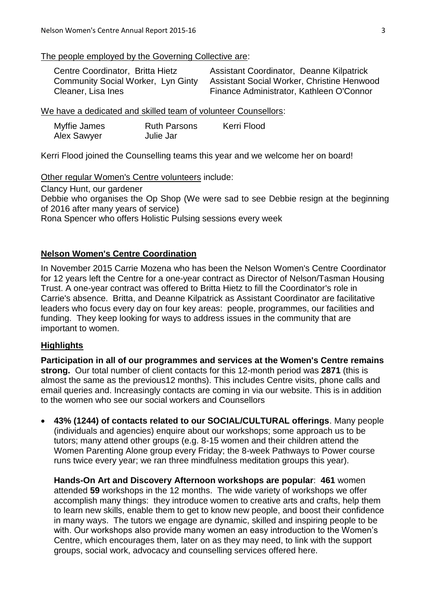## The people employed by the Governing Collective are:

| Centre Coordinator, Britta Hietz          | <b>Assistant Coordinator, Deanne Kilpatrick</b>   |
|-------------------------------------------|---------------------------------------------------|
| <b>Community Social Worker, Lyn Ginty</b> | <b>Assistant Social Worker, Christine Henwood</b> |
| Cleaner, Lisa Ines                        | Finance Administrator, Kathleen O'Connor          |

We have a dedicated and skilled team of volunteer Counsellors:

| Myffie James | <b>Ruth Parsons</b> | Kerri Flood |
|--------------|---------------------|-------------|
| Alex Sawyer  | Julie Jar           |             |

Kerri Flood joined the Counselling teams this year and we welcome her on board!

Other regular Women's Centre volunteers include:

Clancy Hunt, our gardener

Debbie who organises the Op Shop (We were sad to see Debbie resign at the beginning of 2016 after many years of service)

Rona Spencer who offers Holistic Pulsing sessions every week

## **Nelson Women's Centre Coordination**

In November 2015 Carrie Mozena who has been the Nelson Women's Centre Coordinator for 12 years left the Centre for a one-year contract as Director of Nelson/Tasman Housing Trust. A one-year contract was offered to Britta Hietz to fill the Coordinator's role in Carrie's absence. Britta, and Deanne Kilpatrick as Assistant Coordinator are facilitative leaders who focus every day on four key areas: people, programmes, our facilities and funding. They keep looking for ways to address issues in the community that are important to women.

## **Highlights**

**Participation in all of our programmes and services at the Women's Centre remains strong.** Our total number of client contacts for this 12-month period was **2871** (this is almost the same as the previous12 months). This includes Centre visits, phone calls and email queries and. Increasingly contacts are coming in via our website. This is in addition to the women who see our social workers and Counsellors

 **43% (1244) of contacts related to our SOCIAL/CULTURAL offerings**. Many people (individuals and agencies) enquire about our workshops; some approach us to be tutors; many attend other groups (e.g. 8-15 women and their children attend the Women Parenting Alone group every Friday; the 8-week Pathways to Power course runs twice every year; we ran three mindfulness meditation groups this year).

**Hands-On Art and Discovery Afternoon workshops are popular**: **461** women attended **59** workshops in the 12 months. The wide variety of workshops we offer accomplish many things: they introduce women to creative arts and crafts, help them to learn new skills, enable them to get to know new people, and boost their confidence in many ways. The tutors we engage are dynamic, skilled and inspiring people to be with. Our workshops also provide many women an easy introduction to the Women's Centre, which encourages them, later on as they may need, to link with the support groups, social work, advocacy and counselling services offered here.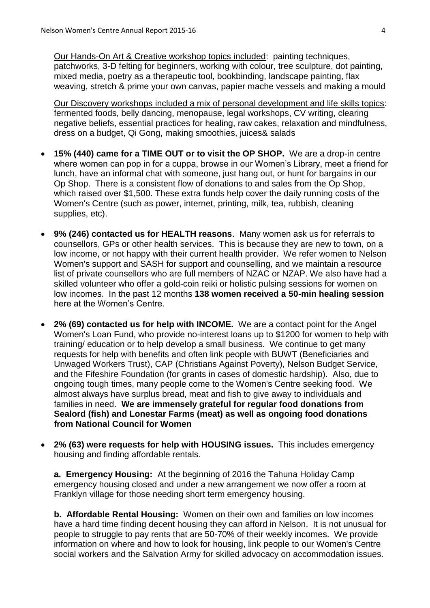Our Hands-On Art & Creative workshop topics included: painting techniques, patchworks, 3-D felting for beginners, working with colour, tree sculpture, dot painting, mixed media, poetry as a therapeutic tool, bookbinding, landscape painting, flax weaving, stretch & prime your own canvas, papier mache vessels and making a mould

Our Discovery workshops included a mix of personal development and life skills topics: fermented foods, belly dancing, menopause, legal workshops, CV writing, clearing negative beliefs, essential practices for healing, raw cakes, relaxation and mindfulness, dress on a budget, Qi Gong, making smoothies, juices& salads

- **15% (440) came for a TIME OUT or to visit the OP SHOP.** We are a drop-in centre where women can pop in for a cuppa, browse in our Women's Library, meet a friend for lunch, have an informal chat with someone, just hang out, or hunt for bargains in our Op Shop. There is a consistent flow of donations to and sales from the Op Shop, which raised over \$1,500. These extra funds help cover the daily running costs of the Women's Centre (such as power, internet, printing, milk, tea, rubbish, cleaning supplies, etc).
- **9% (246) contacted us for HEALTH reasons**. Many women ask us for referrals to counsellors, GPs or other health services. This is because they are new to town, on a low income, or not happy with their current health provider. We refer women to Nelson Women's support and SASH for support and counselling, and we maintain a resource list of private counsellors who are full members of NZAC or NZAP. We also have had a skilled volunteer who offer a gold-coin reiki or holistic pulsing sessions for women on low incomes. In the past 12 months **138 women received a 50-min healing session** here at the Women's Centre.
- **2% (69) contacted us for help with INCOME.** We are a contact point for the Angel Women's Loan Fund, who provide no-interest loans up to \$1200 for women to help with training/ education or to help develop a small business. We continue to get many requests for help with benefits and often link people with BUWT (Beneficiaries and Unwaged Workers Trust), CAP (Christians Against Poverty), Nelson Budget Service, and the Fifeshire Foundation (for grants in cases of domestic hardship). Also, due to ongoing tough times, many people come to the Women's Centre seeking food. We almost always have surplus bread, meat and fish to give away to individuals and families in need. **We are immensely grateful for regular food donations from Sealord (fish) and Lonestar Farms (meat) as well as ongoing food donations from National Council for Women**
- **2% (63) were requests for help with HOUSING issues.** This includes emergency housing and finding affordable rentals.

**a. Emergency Housing:** At the beginning of 2016 the Tahuna Holiday Camp emergency housing closed and under a new arrangement we now offer a room at Franklyn village for those needing short term emergency housing.

**b. Affordable Rental Housing:** Women on their own and families on low incomes have a hard time finding decent housing they can afford in Nelson. It is not unusual for people to struggle to pay rents that are 50-70% of their weekly incomes. We provide information on where and how to look for housing, link people to our Women's Centre social workers and the Salvation Army for skilled advocacy on accommodation issues.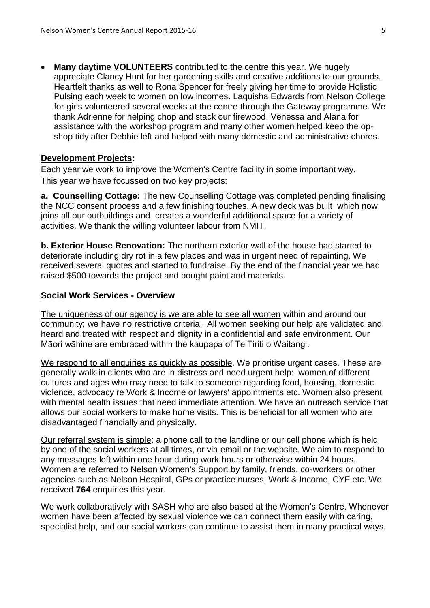**Many daytime VOLUNTEERS** contributed to the centre this year. We hugely appreciate Clancy Hunt for her gardening skills and creative additions to our grounds. Heartfelt thanks as well to Rona Spencer for freely giving her time to provide Holistic Pulsing each week to women on low incomes. Laquisha Edwards from Nelson College for girls volunteered several weeks at the centre through the Gateway programme. We thank Adrienne for helping chop and stack our firewood, Venessa and Alana for assistance with the workshop program and many other women helped keep the opshop tidy after Debbie left and helped with many domestic and administrative chores.

#### **Development Projects:**

Each year we work to improve the Women's Centre facility in some important way. This year we have focussed on two key projects:

**a. Counselling Cottage:** The new Counselling Cottage was completed pending finalising the NCC consent process and a few finishing touches. A new deck was built which now joins all our outbuildings and creates a wonderful additional space for a variety of activities. We thank the willing volunteer labour from NMIT.

**b. Exterior House Renovation:** The northern exterior wall of the house had started to deteriorate including dry rot in a few places and was in urgent need of repainting. We received several quotes and started to fundraise. By the end of the financial year we had raised \$500 towards the project and bought paint and materials.

#### **Social Work Services - Overview**

The uniqueness of our agency is we are able to see all women within and around our community; we have no restrictive criteria. All women seeking our help are validated and heard and treated with respect and dignity in a confidential and safe environment. Our Māori wāhine are embraced within the kaupapa of Te Tiriti o Waitangi.

We respond to all enquiries as quickly as possible. We prioritise urgent cases. These are generally walk-in clients who are in distress and need urgent help: women of different cultures and ages who may need to talk to someone regarding food, housing, domestic violence, advocacy re Work & Income or lawyers' appointments etc. Women also present with mental health issues that need immediate attention. We have an outreach service that allows our social workers to make home visits. This is beneficial for all women who are disadvantaged financially and physically.

Our referral system is simple: a phone call to the landline or our cell phone which is held by one of the social workers at all times, or via email or the website. We aim to respond to any messages left within one hour during work hours or otherwise within 24 hours. Women are referred to Nelson Women's Support by family, friends, co-workers or other agencies such as Nelson Hospital, GPs or practice nurses, Work & Income, CYF etc. We received **764** enquiries this year.

We work collaboratively with SASH who are also based at the Women's Centre. Whenever women have been affected by sexual violence we can connect them easily with caring, specialist help, and our social workers can continue to assist them in many practical ways.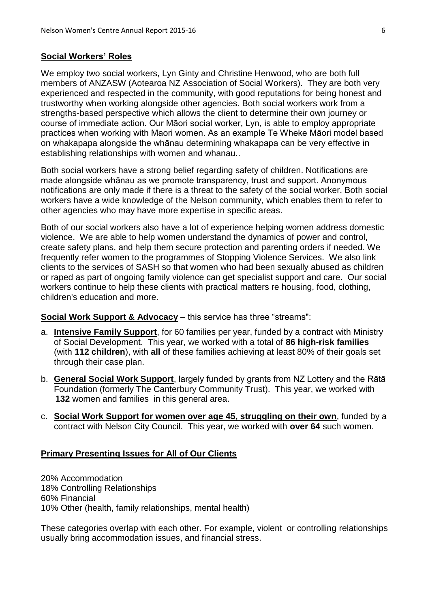#### **Social Workers' Roles**

We employ two social workers, Lyn Ginty and Christine Henwood, who are both full members of ANZASW (Aotearoa NZ Association of Social Workers). They are both very experienced and respected in the community, with good reputations for being honest and trustworthy when working alongside other agencies. Both social workers work from a strengths-based perspective which allows the client to determine their own journey or course of immediate action. Our Māori social worker, Lyn, is able to employ appropriate practices when working with Maori women. As an example Te Wheke Māori model based on whakapapa alongside the whānau determining whakapapa can be very effective in establishing relationships with women and whanau..

Both social workers have a strong belief regarding safety of children. Notifications are made alongside whānau as we promote transparency, trust and support. Anonymous notifications are only made if there is a threat to the safety of the social worker. Both social workers have a wide knowledge of the Nelson community, which enables them to refer to other agencies who may have more expertise in specific areas.

Both of our social workers also have a lot of experience helping women address domestic violence. We are able to help women understand the dynamics of power and control, create safety plans, and help them secure protection and parenting orders if needed. We frequently refer women to the programmes of Stopping Violence Services. We also link clients to the services of SASH so that women who had been sexually abused as children or raped as part of ongoing family violence can get specialist support and care. Our social workers continue to help these clients with practical matters re housing, food, clothing, children's education and more.

#### **Social Work Support & Advocacy** – this service has three "streams":

- a. **Intensive Family Support**, for 60 families per year, funded by a contract with Ministry of Social Development. This year, we worked with a total of **86 high-risk families** (with **112 children**), with **all** of these families achieving at least 80% of their goals set through their case plan.
- b. **General Social Work Support**, largely funded by grants from NZ Lottery and the Rātā Foundation (formerly The Canterbury Community Trust). This year, we worked with **132** women and families in this general area.
- c. **Social Work Support for women over age 45, struggling on their own**, funded by a contract with Nelson City Council. This year, we worked with **over 64** such women.

#### **Primary Presenting Issues for All of Our Clients**

20% Accommodation 18% Controlling Relationships 60% Financial 10% Other (health, family relationships, mental health)

These categories overlap with each other. For example, violent or controlling relationships usually bring accommodation issues, and financial stress.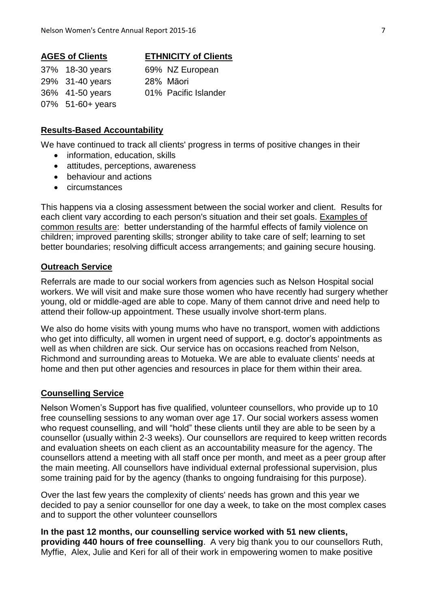#### **AGES of Clients ETHNICITY of Clients**

| 37% 18-30 years  |
|------------------|
| 29% 31-40 years  |
| 36% 41-50 years  |
| 07% 51-60+ years |

#### 69% NZ European 28% Māori

- 
- 01% Pacific Islander

#### **Results-Based Accountability**

We have continued to track all clients' progress in terms of positive changes in their

- information, education, skills
- attitudes, perceptions, awareness
- behaviour and actions
- circumstances

This happens via a closing assessment between the social worker and client. Results for each client vary according to each person's situation and their set goals. Examples of common results are: better understanding of the harmful effects of family violence on children; improved parenting skills; stronger ability to take care of self; learning to set better boundaries; resolving difficult access arrangements; and gaining secure housing.

### **Outreach Service**

Referrals are made to our social workers from agencies such as Nelson Hospital social workers. We will visit and make sure those women who have recently had surgery whether young, old or middle-aged are able to cope. Many of them cannot drive and need help to attend their follow-up appointment. These usually involve short-term plans.

We also do home visits with young mums who have no transport, women with addictions who get into difficulty, all women in urgent need of support, e.g. doctor's appointments as well as when children are sick. Our service has on occasions reached from Nelson, Richmond and surrounding areas to Motueka. We are able to evaluate clients' needs at home and then put other agencies and resources in place for them within their area.

#### **Counselling Service**

Nelson Women's Support has five qualified, volunteer counsellors, who provide up to 10 free counselling sessions to any woman over age 17. Our social workers assess women who request counselling, and will "hold" these clients until they are able to be seen by a counsellor (usually within 2-3 weeks). Our counsellors are required to keep written records and evaluation sheets on each client as an accountability measure for the agency. The counsellors attend a meeting with all staff once per month, and meet as a peer group after the main meeting. All counsellors have individual external professional supervision, plus some training paid for by the agency (thanks to ongoing fundraising for this purpose).

Over the last few years the complexity of clients' needs has grown and this year we decided to pay a senior counsellor for one day a week, to take on the most complex cases and to support the other volunteer counsellors

**In the past 12 months, our counselling service worked with 51 new clients, providing 440 hours of free counselling**. A very big thank you to our counsellors Ruth, Myffie, Alex, Julie and Keri for all of their work in empowering women to make positive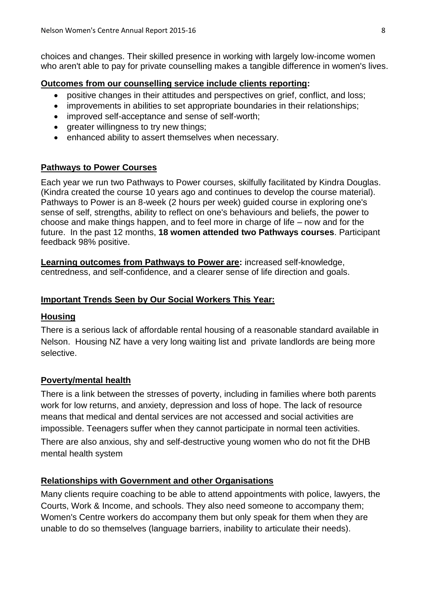choices and changes. Their skilled presence in working with largely low-income women who aren't able to pay for private counselling makes a tangible difference in women's lives.

## **Outcomes from our counselling service include clients reporting:**

- positive changes in their attitudes and perspectives on grief, conflict, and loss;
- improvements in abilities to set appropriate boundaries in their relationships;
- improved self-acceptance and sense of self-worth;
- areater willingness to try new things:
- enhanced ability to assert themselves when necessary.

## **Pathways to Power Courses**

Each year we run two Pathways to Power courses, skilfully facilitated by Kindra Douglas. (Kindra created the course 10 years ago and continues to develop the course material). Pathways to Power is an 8-week (2 hours per week) guided course in exploring one's sense of self, strengths, ability to reflect on one's behaviours and beliefs, the power to choose and make things happen, and to feel more in charge of life – now and for the future. In the past 12 months, **18 women attended two Pathways courses**. Participant feedback 98% positive.

**Learning outcomes from Pathways to Power are:** increased self-knowledge, centredness, and self-confidence, and a clearer sense of life direction and goals.

## **Important Trends Seen by Our Social Workers This Year:**

## **Housing**

There is a serious lack of affordable rental housing of a reasonable standard available in Nelson. Housing NZ have a very long waiting list and private landlords are being more selective.

## **Poverty/mental health**

There is a link between the stresses of poverty, including in families where both parents work for low returns, and anxiety, depression and loss of hope. The lack of resource means that medical and dental services are not accessed and social activities are impossible. Teenagers suffer when they cannot participate in normal teen activities.

There are also anxious, shy and self-destructive young women who do not fit the DHB mental health system

## **Relationships with Government and other Organisations**

Many clients require coaching to be able to attend appointments with police, lawyers, the Courts, Work & Income, and schools. They also need someone to accompany them; Women's Centre workers do accompany them but only speak for them when they are unable to do so themselves (language barriers, inability to articulate their needs).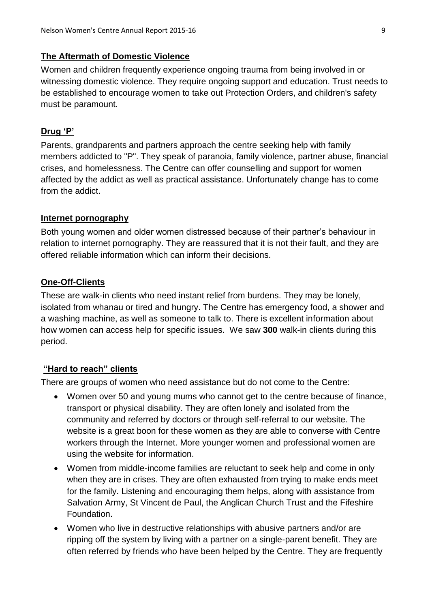## **The Aftermath of Domestic Violence**

Women and children frequently experience ongoing trauma from being involved in or witnessing domestic violence. They require ongoing support and education. Trust needs to be established to encourage women to take out Protection Orders, and children's safety must be paramount.

## **Drug 'P'**

Parents, grandparents and partners approach the centre seeking help with family members addicted to "P". They speak of paranoia, family violence, partner abuse, financial crises, and homelessness. The Centre can offer counselling and support for women affected by the addict as well as practical assistance. Unfortunately change has to come from the addict.

## **Internet pornography**

Both young women and older women distressed because of their partner's behaviour in relation to internet pornography. They are reassured that it is not their fault, and they are offered reliable information which can inform their decisions.

## **One-Off-Clients**

These are walk-in clients who need instant relief from burdens. They may be lonely, isolated from whanau or tired and hungry. The Centre has emergency food, a shower and a washing machine, as well as someone to talk to. There is excellent information about how women can access help for specific issues. We saw **300** walk-in clients during this period.

## **"Hard to reach" clients**

There are groups of women who need assistance but do not come to the Centre:

- Women over 50 and young mums who cannot get to the centre because of finance, transport or physical disability. They are often lonely and isolated from the community and referred by doctors or through self-referral to our website. The website is a great boon for these women as they are able to converse with Centre workers through the Internet. More younger women and professional women are using the website for information.
- Women from middle-income families are reluctant to seek help and come in only when they are in crises. They are often exhausted from trying to make ends meet for the family. Listening and encouraging them helps, along with assistance from Salvation Army, St Vincent de Paul, the Anglican Church Trust and the Fifeshire Foundation.
- Women who live in destructive relationships with abusive partners and/or are ripping off the system by living with a partner on a single-parent benefit. They are often referred by friends who have been helped by the Centre. They are frequently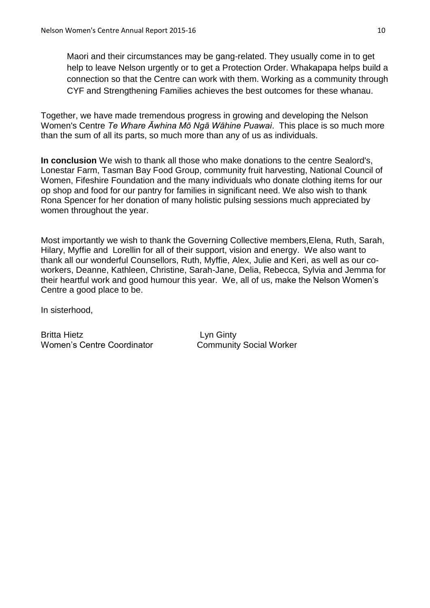Maori and their circumstances may be gang-related. They usually come in to get help to leave Nelson urgently or to get a Protection Order. Whakapapa helps build a connection so that the Centre can work with them. Working as a community through CYF and Strengthening Families achieves the best outcomes for these whanau.

Together, we have made tremendous progress in growing and developing the Nelson Women's Centre *Te Whare Āwhina Mō Ngā Wāhine Puawai*. This place is so much more than the sum of all its parts, so much more than any of us as individuals.

**In conclusion** We wish to thank all those who make donations to the centre Sealord's, Lonestar Farm, Tasman Bay Food Group, community fruit harvesting, National Council of Women, Fifeshire Foundation and the many individuals who donate clothing items for our op shop and food for our pantry for families in significant need. We also wish to thank Rona Spencer for her donation of many holistic pulsing sessions much appreciated by women throughout the year.

Most importantly we wish to thank the Governing Collective members,Elena, Ruth, Sarah, Hilary, Myffie and Lorellin for all of their support, vision and energy. We also want to thank all our wonderful Counsellors, Ruth, Myffie, Alex, Julie and Keri, as well as our coworkers, Deanne, Kathleen, Christine, Sarah-Jane, Delia, Rebecca, Sylvia and Jemma for their heartful work and good humour this year. We, all of us, make the Nelson Women's Centre a good place to be.

In sisterhood,

Britta Hietz **Lyn Ginty** Women's Centre Coordinator **Community Social Worker**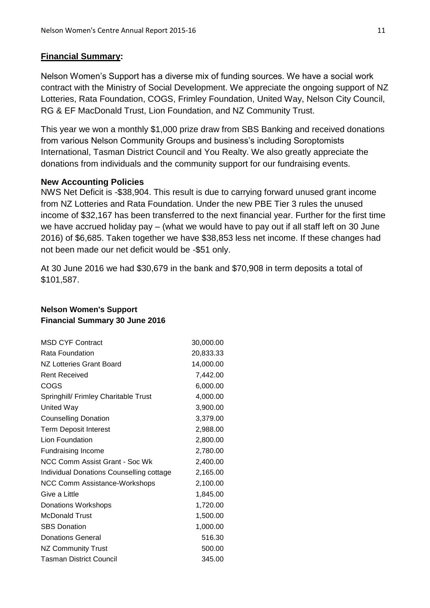## **Financial Summary:**

Nelson Women's Support has a diverse mix of funding sources. We have a social work contract with the Ministry of Social Development. We appreciate the ongoing support of NZ Lotteries, Rata Foundation, COGS, Frimley Foundation, United Way, Nelson City Council, RG & EF MacDonald Trust, Lion Foundation, and NZ Community Trust.

This year we won a monthly \$1,000 prize draw from SBS Banking and received donations from various Nelson Community Groups and business's including Soroptomists International, Tasman District Council and You Realty. We also greatly appreciate the donations from individuals and the community support for our fundraising events.

## **New Accounting Policies**

NWS Net Deficit is -\$38,904. This result is due to carrying forward unused grant income from NZ Lotteries and Rata Foundation. Under the new PBE Tier 3 rules the unused income of \$32,167 has been transferred to the next financial year. Further for the first time we have accrued holiday pay – (what we would have to pay out if all staff left on 30 June 2016) of \$6,685. Taken together we have \$38,853 less net income. If these changes had not been made our net deficit would be -\$51 only.

At 30 June 2016 we had \$30,679 in the bank and \$70,908 in term deposits a total of \$101,587.

| <b>MSD CYF Contract</b>                  | 30,000.00 |
|------------------------------------------|-----------|
| Rata Foundation                          | 20,833.33 |
| <b>NZ Lotteries Grant Board</b>          | 14,000.00 |
| <b>Rent Received</b>                     | 7,442.00  |
| COGS                                     | 6,000.00  |
| Springhill/ Frimley Charitable Trust     | 4,000.00  |
| <b>United Way</b>                        | 3,900.00  |
| <b>Counselling Donation</b>              | 3,379.00  |
| <b>Term Deposit Interest</b>             | 2,988.00  |
| Lion Foundation                          | 2,800.00  |
| <b>Fundraising Income</b>                | 2,780.00  |
| NCC Comm Assist Grant - Soc Wk           | 2,400.00  |
| Individual Donations Counselling cottage | 2,165.00  |
| <b>NCC Comm Assistance-Workshops</b>     | 2,100.00  |
| Give a Little                            | 1,845.00  |
| <b>Donations Workshops</b>               | 1,720.00  |
| <b>McDonald Trust</b>                    | 1,500.00  |
| <b>SBS Donation</b>                      | 1,000.00  |
| <b>Donations General</b>                 | 516.30    |
| <b>NZ Community Trust</b>                | 500.00    |
| Tasman District Council                  | 345.00    |

### **Nelson Women's Support Financial Summary 30 June 2016**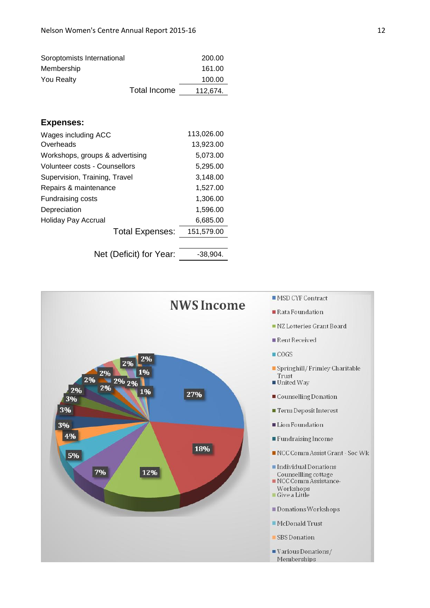| Soroptomists International |              | 200.00   |
|----------------------------|--------------|----------|
| Membership                 |              | 161.00   |
| <b>You Realty</b>          |              | 100.00   |
|                            | Total Income | 112,674. |

#### **Expenses:**

| Wages including ACC             | 113,026.00 |
|---------------------------------|------------|
| Overheads                       | 13,923.00  |
| Workshops, groups & advertising | 5,073.00   |
| Volunteer costs - Counsellors   | 5,295.00   |
| Supervision, Training, Travel   | 3,148.00   |
| Repairs & maintenance           | 1,527.00   |
| Fundraising costs               | 1,306.00   |
| Depreciation                    | 1,596.00   |
| Holiday Pay Accrual             | 6,685.00   |
| <b>Total Expenses:</b>          | 151,579.00 |
|                                 |            |
| Net (Deficit) for Year:         | -38.904.   |